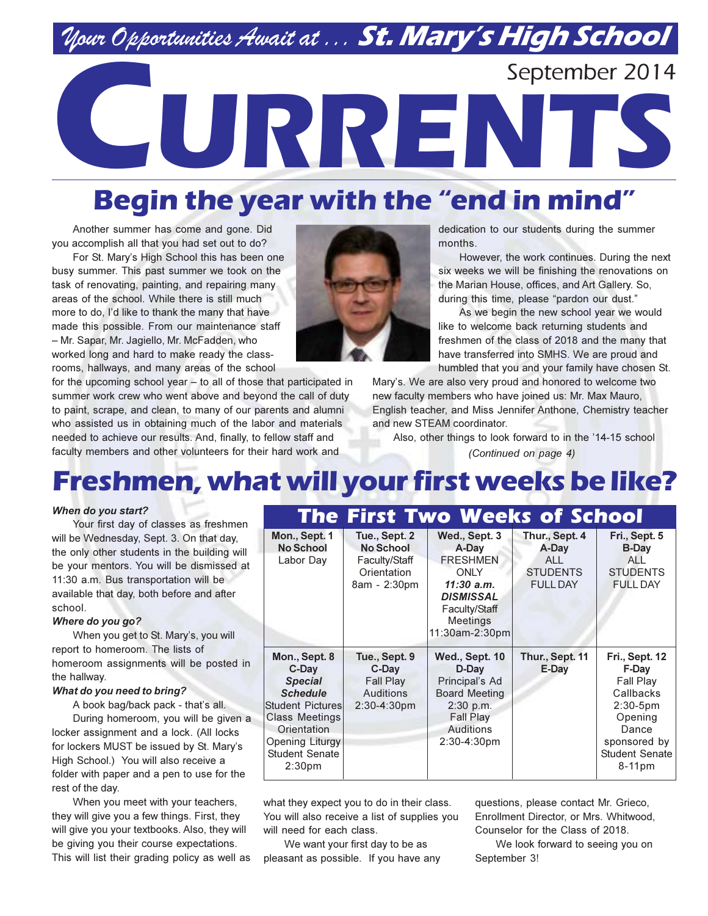# Nour Opportunities Await at . . . St. Mary's High School

September 2014

# URREN

# Begin the year with the "end in mind"

Another summer has come and gone. Did you accomplish all that you had set out to do?

For St. Mary's High School this has been one busy summer. This past summer we took on the task of renovating, painting, and repairing many areas of the school. While there is still much more to do, I'd like to thank the many that have made this possible. From our maintenance staff - Mr. Sapar, Mr. Jagiello, Mr. McFadden, who worked long and hard to make ready the classrooms, hallways, and many areas of the school



for the upcoming school year - to all of those that participated in summer work crew who went above and beyond the call of duty to paint, scrape, and clean, to many of our parents and alumni who assisted us in obtaining much of the labor and materials needed to achieve our results. And, finally, to fellow staff and faculty members and other volunteers for their hard work and

dedication to our students during the summer months.

However, the work continues. During the next six weeks we will be finishing the renovations on the Marian House, offices, and Art Gallery. So, during this time, please "pardon our dust."

As we begin the new school year we would like to welcome back returning students and freshmen of the class of 2018 and the many that have transferred into SMHS. We are proud and humbled that you and your family have chosen St.

Mary's. We are also very proud and honored to welcome two new faculty members who have joined us: Mr. Max Mauro, English teacher, and Miss Jennifer Anthone, Chemistry teacher and new STEAM coordinator.

Also, other things to look forward to in the '14-15 school (Continued on page 4)

# Freshmen, what will your first weeks be like?

#### When do you start?

Your first day of classes as freshmen will be Wednesday, Sept. 3. On that day, the only other students in the building will be your mentors. You will be dismissed at 11:30 a.m. Bus transportation will be available that day, both before and after school.

#### Where do you go?

When you get to St. Mary's, you will report to homeroom. The lists of homeroom assignments will be posted in the hallway.

#### What do you need to bring?

A book bag/back pack - that's all.

During homeroom, you will be given a locker assignment and a lock. (All locks for lockers MUST be issued by St. Mary's High School.) You will also receive a folder with paper and a pen to use for the rest of the dav.

When you meet with your teachers, they will give you a few things. First, they will give you your textbooks. Also, they will be giving you their course expectations. This will list their grading policy as well as

|                                                                                                                                                                                           |                                                                                    | л эчнээн                                                                                                                                            |                                                                             |                                                                                                                                                   |
|-------------------------------------------------------------------------------------------------------------------------------------------------------------------------------------------|------------------------------------------------------------------------------------|-----------------------------------------------------------------------------------------------------------------------------------------------------|-----------------------------------------------------------------------------|---------------------------------------------------------------------------------------------------------------------------------------------------|
| Mon., Sept. 1<br><b>No School</b><br>Labor Day                                                                                                                                            | Tue., Sept. 2<br><b>No School</b><br>Faculty/Staff<br>Orientation<br>8am - 2:30pm  | Wed., Sept. 3<br>A-Day<br><b>FRESHMEN</b><br><b>ONLY</b><br>$11:30$ a.m.<br><b>DISMISSAL</b><br>Faculty/Staff<br><b>Meetings</b><br>11:30am-2:30pm  | Thur., Sept. 4<br>A-Day<br><b>ALL</b><br><b>STUDENTS</b><br><b>FULL DAY</b> | Fri., Sept. 5<br><b>B-Day</b><br>ALL<br><b>STUDENTS</b><br><b>FULL DAY</b>                                                                        |
| Mon., Sept. 8<br>C-Day<br><b>Special</b><br><b>Schedule</b><br>Student Pictures<br><b>Class Meetings</b><br>Orientation<br>Opening Liturgy<br><b>Student Senate</b><br>2:30 <sub>pm</sub> | Tue., Sept. 9<br>C-Day<br><b>Fall Play</b><br><b>Auditions</b><br>$2:30 - 4:30$ pm | <b>Wed., Sept. 10</b><br>D-Day<br>Principal's Ad<br><b>Board Meeting</b><br>$2:30$ p.m.<br><b>Fall Play</b><br><b>Auditions</b><br>$2:30 - 4:30$ pm | Thur., Sept. 11<br>E-Day                                                    | <b>Fri., Sept. 12</b><br>F-Day<br>Fall Play<br>Callbacks<br>$2:30-5$ pm<br>Opening<br>Dance<br>sponsored by<br><b>Student Senate</b><br>$8-11$ pm |

The First Two Weeks of School

what they expect you to do in their class. You will also receive a list of supplies you will need for each class.

We want your first day to be as pleasant as possible. If you have any questions, please contact Mr. Grieco, Enrollment Director, or Mrs. Whitwood, Counselor for the Class of 2018.

We look forward to seeing you on September 3!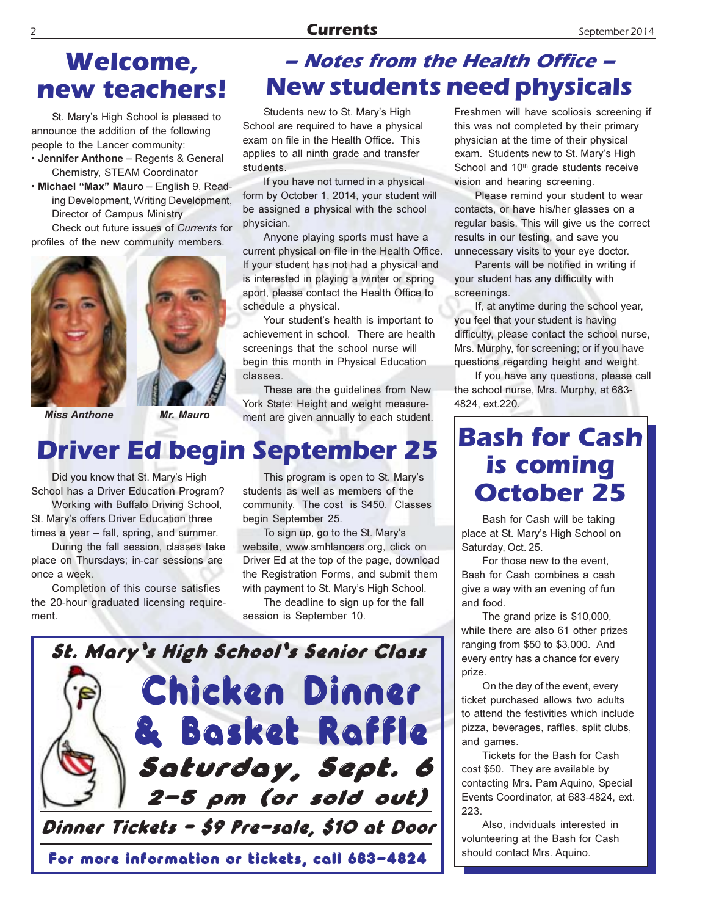#### **Currents**

## **Welcome,** new teachers!

St. Mary's High School is pleased to announce the addition of the following people to the Lancer community:

· Jennifer Anthone - Regents & General Chemistry, STEAM Coordinator

· Michael "Max" Mauro - English 9, Reading Development, Writing Development, Director of Campus Ministry Check out future issues of Currents for

profiles of the new community members.





**Miss Anthone** 

Mr. Mauro

# **Driver Ed begin September 25**

Did you know that St. Mary's High School has a Driver Education Program?

Working with Buffalo Driving School, St. Mary's offers Driver Education three times a year - fall, spring, and summer.

During the fall session, classes take place on Thursdays; in-car sessions are once a week.

Completion of this course satisfies the 20-hour graduated licensing requirement.

This program is open to St. Mary's students as well as members of the community. The cost is \$450. Classes begin September 25.

To sign up, go to the St. Mary's website, www.smhlancers.org, click on Driver Ed at the top of the page, download the Registration Forms, and submit them with payment to St. Mary's High School.

The deadline to sign up for the fall session is September 10.



### - Notes from the Health Office -**New students need physicals**

Students new to St. Mary's High School are required to have a physical exam on file in the Health Office. This applies to all ninth grade and transfer students.

If you have not turned in a physical form by October 1, 2014, your student will be assigned a physical with the school physician.

Anyone playing sports must have a current physical on file in the Health Office. If your student has not had a physical and is interested in playing a winter or spring sport, please contact the Health Office to schedule a physical.

Your student's health is important to achievement in school. There are health screenings that the school nurse will begin this month in Physical Education classes.

These are the guidelines from New York State: Height and weight measurement are given annually to each student.

Freshmen will have scoliosis screening if this was not completed by their primary physician at the time of their physical exam. Students new to St. Mary's High School and 10<sup>th</sup> grade students receive vision and hearing screening.

Please remind your student to wear contacts, or have his/her glasses on a regular basis. This will give us the correct results in our testing, and save you unnecessary visits to your eye doctor.

Parents will be notified in writing if your student has any difficulty with screenings.

If, at anytime during the school year, you feel that your student is having difficulty, please contact the school nurse, Mrs. Murphy, for screening; or if you have questions regarding height and weight.

If you have any questions, please call the school nurse, Mrs. Murphy, at 683-4824, ext.220.

# **Bash for Cash** is coming **October 25**

Bash for Cash will be taking place at St. Mary's High School on Saturday, Oct. 25.

For those new to the event, Bash for Cash combines a cash give a way with an evening of fun and food.

The grand prize is \$10,000, while there are also 61 other prizes ranging from \$50 to \$3,000. And every entry has a chance for every prize.

On the day of the event, every ticket purchased allows two adults to attend the festivities which include pizza, beverages, raffles, split clubs, and games.

Tickets for the Bash for Cash cost \$50. They are available by contacting Mrs. Pam Aquino, Special Events Coordinator, at 683-4824, ext. 223.

Also, indviduals interested in volunteering at the Bash for Cash should contact Mrs. Aquino.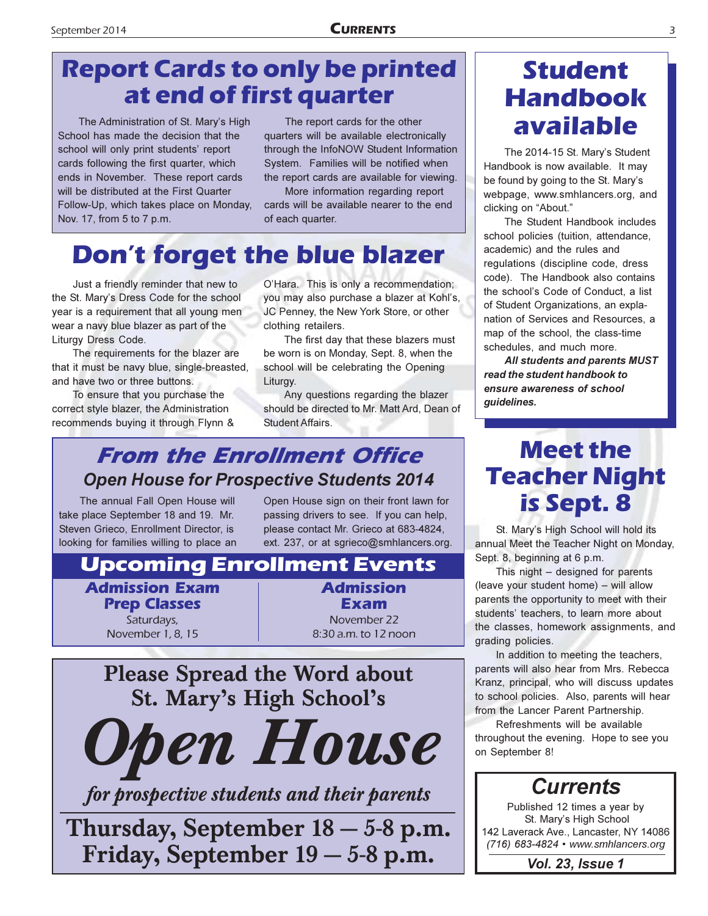# **Report Cards to only be printed** at end of first quarter

The Administration of St. Mary's High School has made the decision that the school will only print students' report cards following the first quarter, which ends in November. These report cards will be distributed at the First Quarter Follow-Up, which takes place on Monday, Nov. 17, from 5 to 7 p.m.

The report cards for the other quarters will be available electronically through the InfoNOW Student Information System. Families will be notified when the report cards are available for viewing.

More information regarding report cards will be available nearer to the end of each quarter.

# **Don't forget the blue blazer**

Just a friendly reminder that new to the St. Mary's Dress Code for the school year is a requirement that all young men wear a navy blue blazer as part of the Liturgy Dress Code.

The requirements for the blazer are that it must be navy blue, single-breasted, and have two or three buttons.

To ensure that you purchase the correct style blazer, the Administration recommends buying it through Flynn &

O'Hara. This is only a recommendation; you may also purchase a blazer at Kohl's, JC Penney, the New York Store, or other clothing retailers.

The first day that these blazers must be worn is on Monday, Sept. 8, when the school will be celebrating the Opening Liturgy.

Any questions regarding the blazer should be directed to Mr. Matt Ard, Dean of **Student Affairs.** 

### **From the Enrollment Office Open House for Prospective Students 2014**

The annual Fall Open House will take place September 18 and 19. Mr. Steven Grieco, Enrollment Director, is looking for families willing to place an Open House sign on their front lawn for passing drivers to see. If you can help, please contact Mr. Grieco at 683-4824, ext. 237, or at sgrieco@smhlancers.org.

### **Upcoming Enrollment Events**

**Admission Exam Prep Classes** Saturdays. November 1, 8, 15

**Admission** Exam November 22 8:30 a.m. to 12 noon



for prospective students and their parents

Thursday, September 18 - 5-8 p.m. Friday, September 19 – 5-8 p.m.

# **Student Handbook** available

The 2014-15 St. Mary's Student Handbook is now available. It may be found by going to the St. Mary's webpage, www.smhlancers.org, and clicking on "About."

The Student Handbook includes school policies (tuition, attendance, academic) and the rules and regulations (discipline code, dress code). The Handbook also contains the school's Code of Conduct, a list of Student Organizations, an explanation of Services and Resources, a map of the school, the class-time schedules, and much more.

All students and parents MUST read the student handbook to ensure awareness of school guidelines.

## **Meet the Teacher Night** is Sept. 8

St. Mary's High School will hold its annual Meet the Teacher Night on Monday, Sept. 8, beginning at 6 p.m.

This night  $-$  designed for parents (leave your student home) - will allow parents the opportunity to meet with their students' teachers, to learn more about the classes, homework assignments, and grading policies.

In addition to meeting the teachers, parents will also hear from Mrs. Rebecca Kranz, principal, who will discuss updates to school policies. Also, parents will hear from the Lancer Parent Partnership.

Refreshments will be available throughout the evening. Hope to see you on September 8!



**Vol. 23, Issue 1**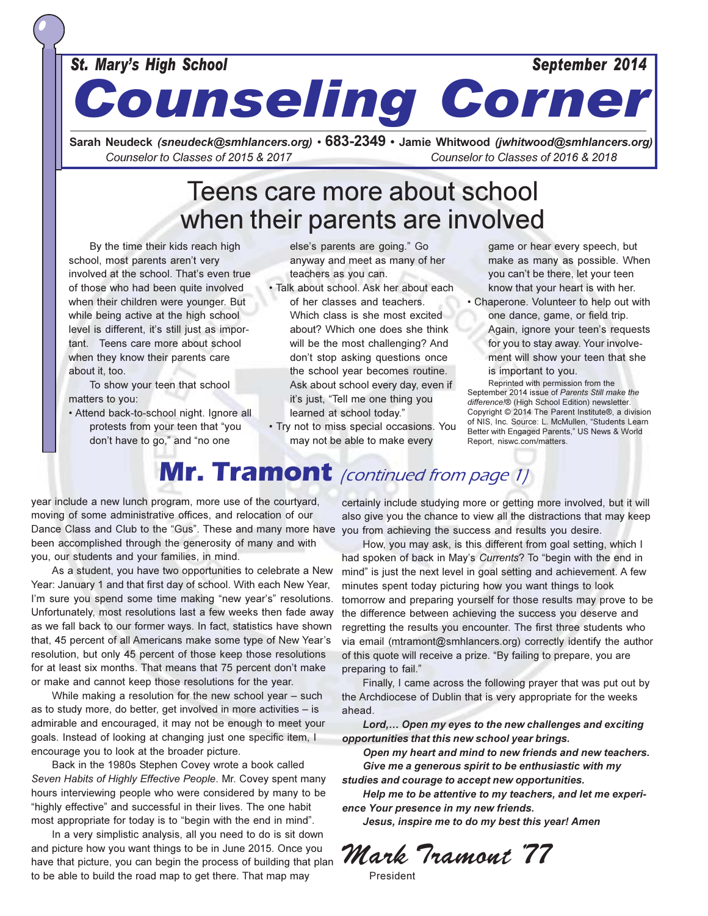#### **St. Mary's High School**

#### September 2014

**Counseling Corner** 

Sarah Neudeck (sneudeck@smhlancers.org) • 683-2349 • Jamie Whitwood (jwhitwood@smhlancers.org) Counselor to Classes of 2015 & 2017 Counselor to Classes of 2016 & 2018

### Teens care more about school when their parents are involved

By the time their kids reach high school, most parents aren't very involved at the school. That's even true of those who had been quite involved when their children were younger. But while being active at the high school level is different, it's still just as important. Teens care more about school when they know their parents care about it. too.

To show your teen that school matters to you:

· Attend back-to-school night. Ignore all protests from your teen that "you don't have to go," and "no one

else's parents are going." Go anyway and meet as many of her teachers as you can.

· Talk about school. Ask her about each

of her classes and teachers. Which class is she most excited about? Which one does she think will be the most challenging? And don't stop asking questions once the school year becomes routine. Ask about school every day, even if it's just, "Tell me one thing you learned at school today."

. Try not to miss special occasions. You may not be able to make every

game or hear every speech, but make as many as possible. When you can't be there, let your teen know that your heart is with her.

• Chaperone. Volunteer to help out with one dance, game, or field trip. Again, ignore your teen's requests for you to stay away. Your involvement will show your teen that she is important to you.

Reprinted with permission from the September 2014 issue of Parents Still make the difference!® (High School Edition) newsletter Copyright © 2014 The Parent Institute®, a division of NIS, Inc. Source: L. McMullen, "Students Learn Better with Engaged Parents," US News & World Report, niswc.com/matters.

# Mr. Tramont (continued from page 1)

year include a new lunch program, more use of the courtyard, moving of some administrative offices, and relocation of our Dance Class and Club to the "Gus". These and many more have you from achieving the success and results you desire. been accomplished through the generosity of many and with you, our students and your families, in mind.

As a student, you have two opportunities to celebrate a New Year: January 1 and that first day of school. With each New Year, I'm sure you spend some time making "new year's" resolutions. Unfortunately, most resolutions last a few weeks then fade away as we fall back to our former ways. In fact, statistics have shown that, 45 percent of all Americans make some type of New Year's resolution, but only 45 percent of those keep those resolutions for at least six months. That means that 75 percent don't make or make and cannot keep those resolutions for the year.

While making a resolution for the new school year – such as to study more, do better, get involved in more activities - is admirable and encouraged, it may not be enough to meet your goals. Instead of looking at changing just one specific item, I encourage you to look at the broader picture.

Back in the 1980s Stephen Covey wrote a book called Seven Habits of Highly Effective People. Mr. Covey spent many hours interviewing people who were considered by many to be "highly effective" and successful in their lives. The one habit most appropriate for today is to "begin with the end in mind".

In a very simplistic analysis, all you need to do is sit down and picture how you want things to be in June 2015. Once you have that picture, you can begin the process of building that plan to be able to build the road map to get there. That map may

certainly include studying more or getting more involved, but it will also give you the chance to view all the distractions that may keep

How, you may ask, is this different from goal setting, which I had spoken of back in May's Currents? To "begin with the end in mind" is just the next level in goal setting and achievement. A few minutes spent today picturing how you want things to look tomorrow and preparing yourself for those results may prove to be the difference between achieving the success you deserve and regretting the results you encounter. The first three students who via email (mtramont@smhlancers.org) correctly identify the author of this quote will receive a prize. "By failing to prepare, you are preparing to fail."

Finally, I came across the following prayer that was put out by the Archdiocese of Dublin that is very appropriate for the weeks ahead.

Lord,... Open my eyes to the new challenges and exciting opportunities that this new school year brings.

Open my heart and mind to new friends and new teachers. Give me a generous spirit to be enthusiastic with my studies and courage to accept new opportunities.

Help me to be attentive to my teachers, and let me experience Your presence in my new friends.

Jesus, inspire me to do my best this year! Amen

Mark Tramont 77

President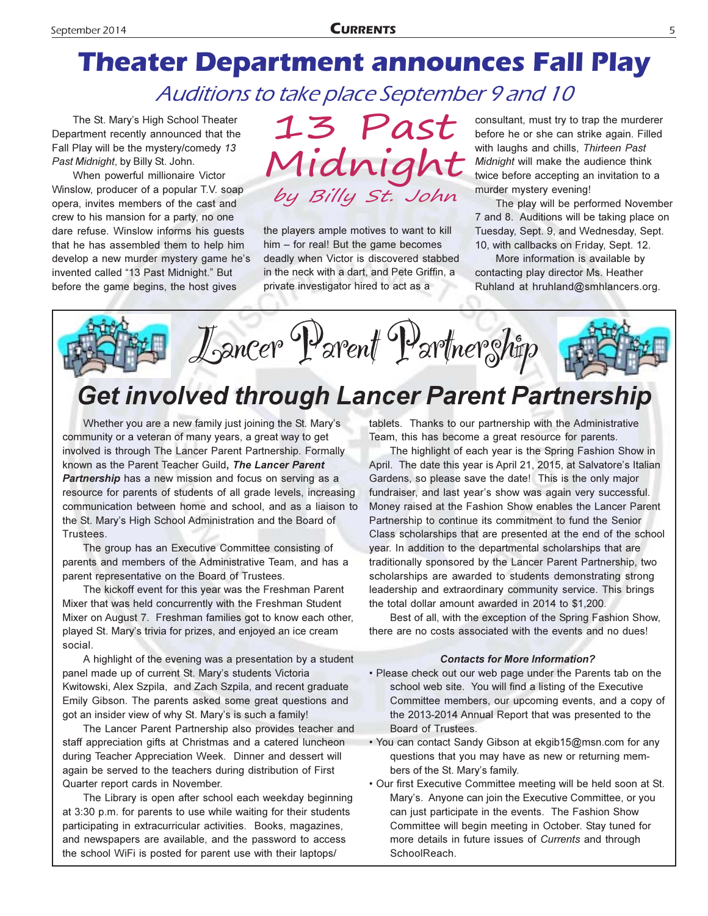# **Theater Department announces Fall Play** Auditions to take place September 9 and 10

The St. Mary's High School Theater Department recently announced that the Fall Play will be the mystery/comedy 13 Past Midnight, by Billy St. John.

When powerful millionaire Victor Winslow, producer of a popular T.V. soap opera, invites members of the cast and crew to his mansion for a party, no one dare refuse. Winslow informs his guests that he has assembled them to help him develop a new murder mystery game he's invented called "13 Past Midnight." But before the game begins, the host gives

13 Past Midnight by Billy St. John

the players ample motives to want to kill him – for real! But the game becomes deadly when Victor is discovered stabbed in the neck with a dart, and Pete Griffin, a private investigator hired to act as a

consultant, must try to trap the murderer before he or she can strike again. Filled with laughs and chills, Thirteen Past Midnight will make the audience think twice before accepting an invitation to a murder mystery evening!

The play will be performed November 7 and 8. Auditions will be taking place on Tuesday, Sept. 9, and Wednesday, Sept. 10, with callbacks on Friday, Sept. 12.

More information is available by contacting play director Ms. Heather Ruhland at hruhland@smhlancers.org.

Lancer Parent Partnerghtp

# Get involved through Lancer Parent Partnership

Whether you are a new family just joining the St. Mary's community or a veteran of many years, a great way to get involved is through The Lancer Parent Partnership. Formally known as the Parent Teacher Guild, The Lancer Parent Partnership has a new mission and focus on serving as a resource for parents of students of all grade levels, increasing communication between home and school, and as a liaison to the St. Mary's High School Administration and the Board of Trustees.

The group has an Executive Committee consisting of parents and members of the Administrative Team, and has a parent representative on the Board of Trustees.

The kickoff event for this year was the Freshman Parent Mixer that was held concurrently with the Freshman Student Mixer on August 7. Freshman families got to know each other, played St. Mary's trivia for prizes, and enjoyed an ice cream social.

A highlight of the evening was a presentation by a student panel made up of current St. Mary's students Victoria Kwitowski, Alex Szpila, and Zach Szpila, and recent graduate Emily Gibson. The parents asked some great questions and got an insider view of why St. Mary's is such a family!

The Lancer Parent Partnership also provides teacher and staff appreciation gifts at Christmas and a catered luncheon during Teacher Appreciation Week. Dinner and dessert will again be served to the teachers during distribution of First Quarter report cards in November.

The Library is open after school each weekday beginning at 3:30 p.m. for parents to use while waiting for their students participating in extracurricular activities. Books, magazines, and newspapers are available, and the password to access the school WiFi is posted for parent use with their laptops/

tablets. Thanks to our partnership with the Administrative Team, this has become a great resource for parents.

The highlight of each year is the Spring Fashion Show in April. The date this year is April 21, 2015, at Salvatore's Italian Gardens, so please save the date! This is the only major fundraiser, and last year's show was again very successful. Money raised at the Fashion Show enables the Lancer Parent Partnership to continue its commitment to fund the Senior Class scholarships that are presented at the end of the school year. In addition to the departmental scholarships that are traditionally sponsored by the Lancer Parent Partnership, two scholarships are awarded to students demonstrating strong leadership and extraordinary community service. This brings the total dollar amount awarded in 2014 to \$1,200.

Best of all, with the exception of the Spring Fashion Show, there are no costs associated with the events and no dues!

#### **Contacts for More Information?**

- . Please check out our web page under the Parents tab on the school web site. You will find a listing of the Executive Committee members, our upcoming events, and a copy of the 2013-2014 Annual Report that was presented to the Board of Trustees.
- You can contact Sandy Gibson at ekgib15@msn.com for any questions that you may have as new or returning members of the St. Mary's family.
- Our first Executive Committee meeting will be held soon at St. Mary's. Anyone can join the Executive Committee, or you can just participate in the events. The Fashion Show Committee will begin meeting in October. Stay tuned for more details in future issues of Currents and through SchoolReach.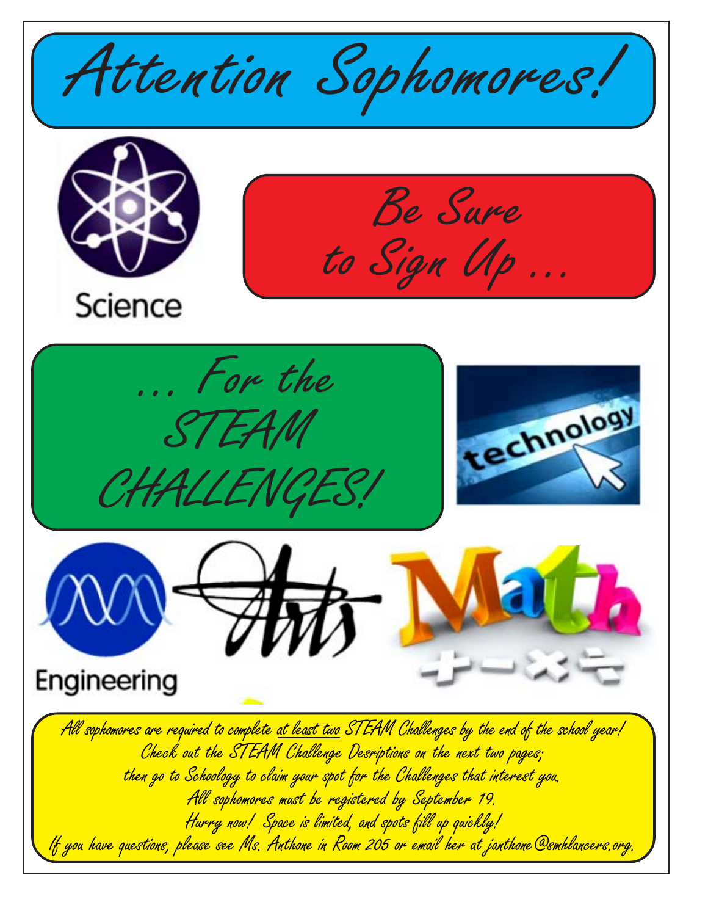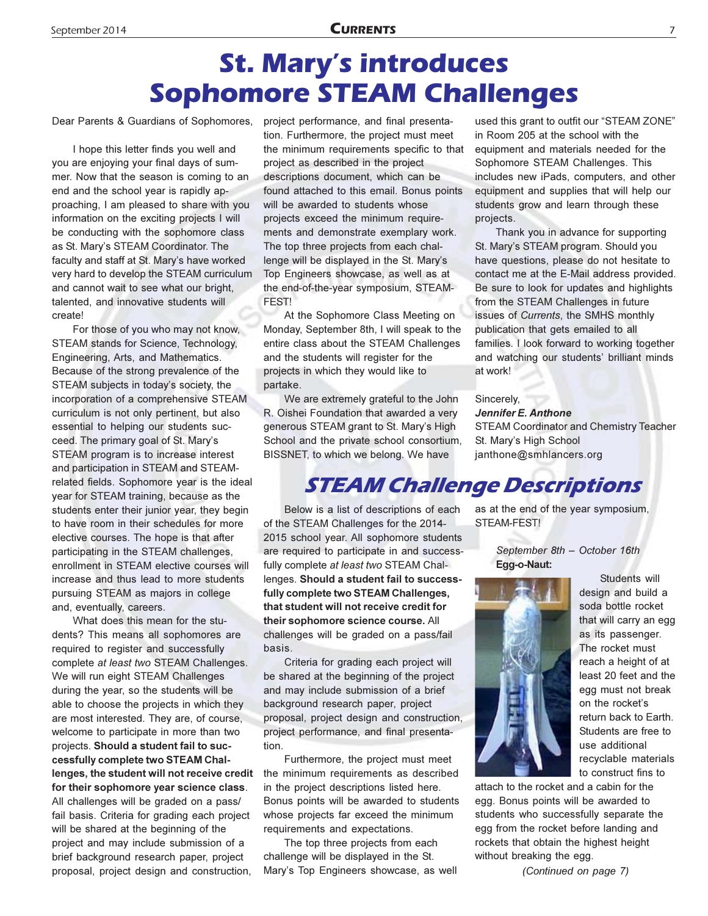# **St. Mary's introduces Sophomore STEAM Challenges**

Dear Parents & Guardians of Sophomores,

I hope this letter finds you well and you are enjoying your final days of summer. Now that the season is coming to an end and the school year is rapidly approaching, I am pleased to share with you information on the exciting projects I will be conducting with the sophomore class as St. Mary's STEAM Coordinator. The faculty and staff at St. Mary's have worked very hard to develop the STEAM curriculum and cannot wait to see what our bright, talented, and innovative students will createl

For those of you who may not know, STEAM stands for Science, Technology, Engineering, Arts, and Mathematics. Because of the strong prevalence of the STEAM subjects in today's society, the incorporation of a comprehensive STEAM curriculum is not only pertinent, but also essential to helping our students succeed. The primary goal of St. Mary's STEAM program is to increase interest and participation in STEAM and STEAMrelated fields. Sophomore year is the ideal year for STEAM training, because as the students enter their junior year, they begin to have room in their schedules for more elective courses. The hope is that after participating in the STEAM challenges, enrollment in STEAM elective courses will increase and thus lead to more students pursuing STEAM as majors in college and, eventually, careers.

What does this mean for the students? This means all sophomores are required to register and successfully complete at least two STEAM Challenges. We will run eight STEAM Challenges during the year, so the students will be able to choose the projects in which they are most interested. They are, of course, welcome to participate in more than two projects. Should a student fail to successfully complete two STEAM Challenges, the student will not receive credit for their sophomore year science class. All challenges will be graded on a pass/ fail basis. Criteria for grading each project will be shared at the beginning of the project and may include submission of a brief background research paper, project proposal, project design and construction,

project performance, and final presentation. Furthermore, the project must meet the minimum requirements specific to that project as described in the project descriptions document, which can be found attached to this email. Bonus points will be awarded to students whose projects exceed the minimum requirements and demonstrate exemplary work. The top three projects from each challenge will be displayed in the St. Mary's Top Engineers showcase, as well as at the end-of-the-year symposium, STEAM-FEST!

At the Sophomore Class Meeting on Monday, September 8th, I will speak to the entire class about the STEAM Challenges and the students will register for the projects in which they would like to partake.

We are extremely grateful to the John R. Oishei Foundation that awarded a very generous STEAM grant to St. Mary's High School and the private school consortium, BISSNET, to which we belong. We have

used this grant to outfit our "STEAM ZONE" in Room 205 at the school with the equipment and materials needed for the Sophomore STEAM Challenges. This includes new iPads, computers, and other equipment and supplies that will help our students grow and learn through these projects.

Thank you in advance for supporting St. Mary's STEAM program. Should you have questions, please do not hesitate to contact me at the E-Mail address provided. Be sure to look for updates and highlights from the STEAM Challenges in future issues of Currents, the SMHS monthly publication that gets emailed to all families. I look forward to working together and watching our students' brilliant minds at work!

Sincerely, Jennifer E. Anthone **STEAM Coordinator and Chemistry Teacher** St. Mary's High School janthone@smhlancers.org

### **STEAM Challenge Descriptions**

Below is a list of descriptions of each of the STEAM Challenges for the 2014-2015 school year. All sophomore students are required to participate in and successfully complete at least two STEAM Challenges. Should a student fail to successfully complete two STEAM Challenges, that student will not receive credit for their sophomore science course. All challenges will be graded on a pass/fail basis.

Criteria for grading each project will be shared at the beginning of the project and may include submission of a brief background research paper, project proposal, project design and construction, project performance, and final presentation.

Furthermore, the project must meet the minimum requirements as described in the project descriptions listed here. Bonus points will be awarded to students whose projects far exceed the minimum requirements and expectations.

The top three projects from each challenge will be displayed in the St. Mary's Top Engineers showcase, as well

as at the end of the year symposium, STEAM-FEST!

> September 8th - October 16th Egg-o-Naut:



Students will design and build a soda bottle rocket that will carry an egg as its passenger. The rocket must reach a height of at least 20 feet and the egg must not break on the rocket's return back to Earth. Students are free to use additional recyclable materials to construct fins to

attach to the rocket and a cabin for the egg. Bonus points will be awarded to students who successfully separate the egg from the rocket before landing and rockets that obtain the highest height without breaking the egg.

(Continued on page 7)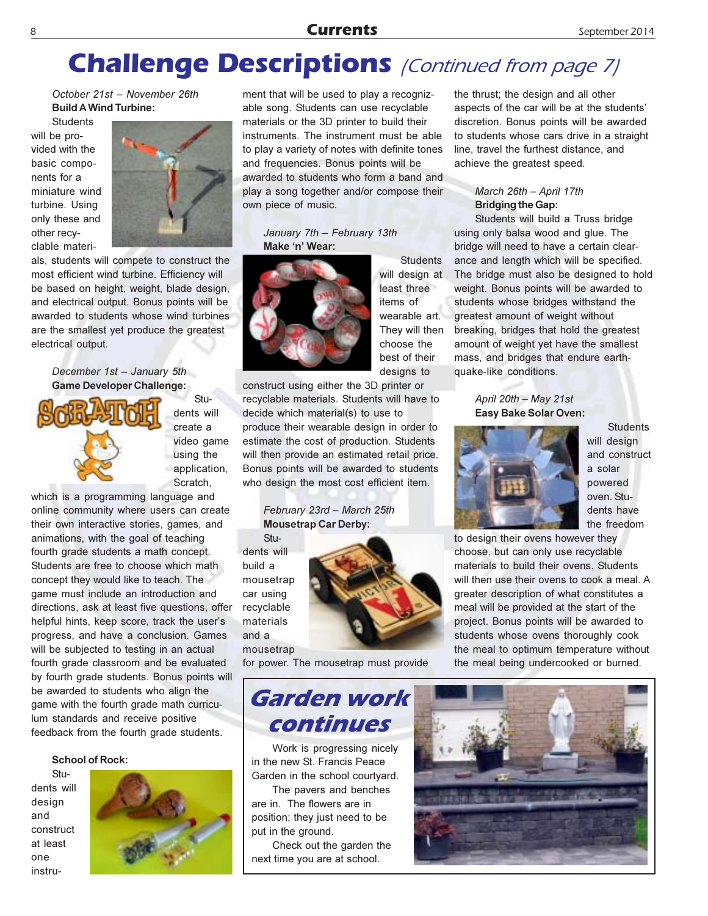#### **Currents**

# **Challenge Descriptions** (Continued from page 7)

October 21st - November 26th **Build A Wind Turbine:** 

**Students** will be provided with the basic components for a miniature wind turbine. Using only these and other recyclable materi-



als, students will compete to construct the most efficient wind turbine. Efficiency will be based on height, weight, blade design, and electrical output. Bonus points will be awarded to students whose wind turbines are the smallest yet produce the greatest electrical output.

#### December 1st - January 5th **Game Developer Challenge:**



Students will create a video game using the application, Scratch,

which is a programming language and online community where users can create their own interactive stories, games, and animations, with the goal of teaching fourth grade students a math concept. Students are free to choose which math concept they would like to teach. The game must include an introduction and directions, ask at least five questions, offer helpful hints, keep score, track the user's progress, and have a conclusion. Games will be subjected to testing in an actual fourth grade classroom and be evaluated by fourth grade students. Bonus points will be awarded to students who align the game with the fourth grade math curriculum standards and receive positive feedback from the fourth grade students.

#### **School of Rock:**

Students will design and construct at least one instru-



ment that will be used to play a recognizable song. Students can use recyclable materials or the 3D printer to build their instruments. The instrument must be able to play a variety of notes with definite tones and frequencies. Bonus points will be awarded to students who form a band and play a song together and/or compose their own piece of music.

#### January 7th - February 13th Make 'n' Wear:



**Students** will design at least three items of wearable art. They will then choose the best of their designs to

construct using either the 3D printer or recyclable materials. Students will have to

decide which material(s) to use to produce their wearable design in order to estimate the cost of production. Students will then provide an estimated retail price. Bonus points will be awarded to students who design the most cost efficient item.

#### February 23rd - March 25th **Mousetrap Car Derby:**

Students will build a mousetrap car using recyclable materials  $and a$ mousetrap

for power. The mousetrap must provide

### Garden work continues

Work is progressing nicely in the new St. Francis Peace Garden in the school courtyard.

The pavers and benches are in. The flowers are in position; they just need to be put in the ground.

Check out the garden the next time you are at school.

the thrust; the design and all other aspects of the car will be at the students' discretion. Bonus points will be awarded to students whose cars drive in a straight line, travel the furthest distance, and achieve the greatest speed.

#### March 26th - April 17th **Bridging the Gap:**

Students will build a Truss bridge using only balsa wood and glue. The bridge will need to have a certain clearance and length which will be specified. The bridge must also be designed to hold weight. Bonus points will be awarded to students whose bridges withstand the greatest amount of weight without breaking, bridges that hold the greatest amount of weight yet have the smallest mass, and bridges that endure earthquake-like conditions.

> April 20th - May 21st Easy Bake Solar Oven:



**Students** will design and construct a solar powered oven. Students have the freedom

to design their ovens however they choose, but can only use recyclable materials to build their ovens. Students will then use their ovens to cook a meal. A greater description of what constitutes a meal will be provided at the start of the project. Bonus points will be awarded to students whose ovens thoroughly cook the meal to optimum temperature without the meal being undercooked or burned.

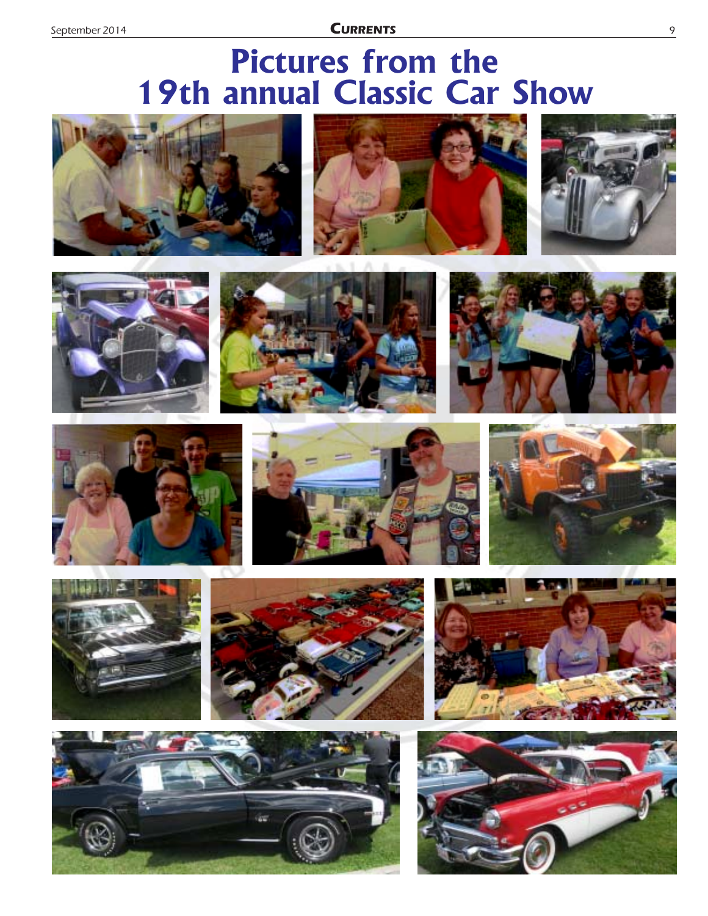**CURRENTS** 

# **Pictures from the 19th annual Classic Car Show**



























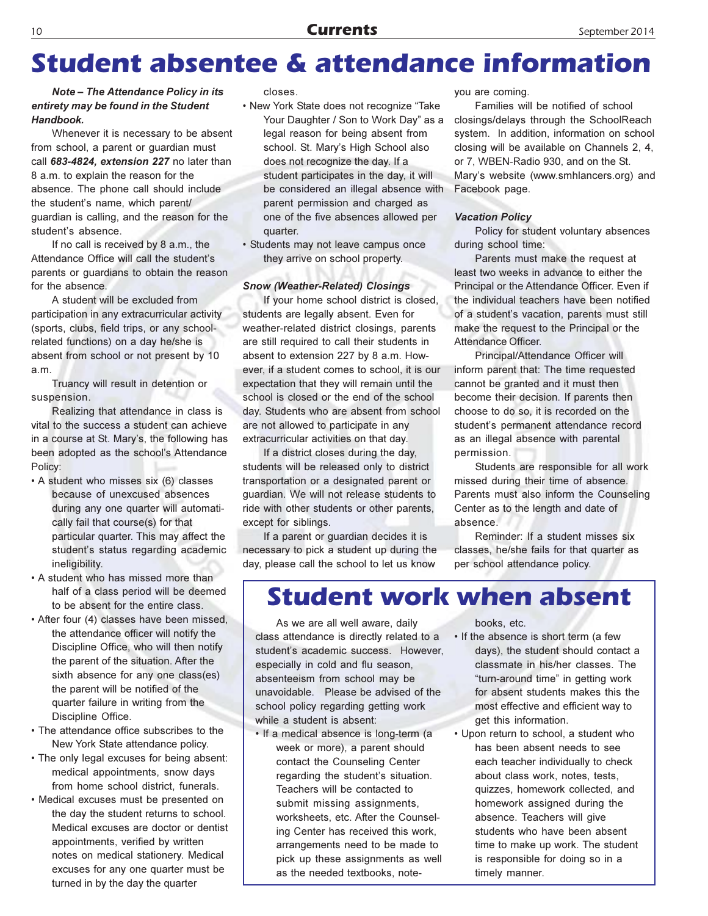# **Student absentee & attendance information**

#### Note - The Attendance Policy in its entirety may be found in the Student Handbook.

Whenever it is necessary to be absent from school, a parent or guardian must call 683-4824, extension 227 no later than 8 a.m. to explain the reason for the absence. The phone call should include the student's name, which parent/ quardian is calling, and the reason for the student's absence.

If no call is received by 8 a.m., the Attendance Office will call the student's parents or quardians to obtain the reason for the absence.

A student will be excluded from participation in any extracurricular activity (sports, clubs, field trips, or any schoolrelated functions) on a day he/she is absent from school or not present by 10  $a<sub>m</sub>$ 

Truancy will result in detention or suspension.

Realizing that attendance in class is vital to the success a student can achieve in a course at St. Mary's, the following has been adopted as the school's Attendance Policy:

- A student who misses six (6) classes because of unexcused absences during any one quarter will automatically fail that course(s) for that particular quarter. This may affect the student's status regarding academic ineligibility.
- . A student who has missed more than half of a class period will be deemed to be absent for the entire class.
- After four (4) classes have been missed. the attendance officer will notify the Discipline Office, who will then notify the parent of the situation. After the sixth absence for any one class(es) the parent will be notified of the quarter failure in writing from the Discipline Office.
- The attendance office subscribes to the New York State attendance policy.
- The only legal excuses for being absent: medical appointments, snow days from home school district, funerals.
- Medical excuses must be presented on the day the student returns to school. Medical excuses are doctor or dentist appointments, verified by written notes on medical stationery. Medical excuses for any one quarter must be turned in by the day the quarter

closes

- New York State does not recognize "Take Your Daughter / Son to Work Day" as a legal reason for being absent from school. St. Mary's High School also does not recognize the day. If a student participates in the day, it will be considered an illegal absence with parent permission and charged as one of the five absences allowed per quarter.
- · Students may not leave campus once they arrive on school property.

#### **Snow (Weather-Related) Closings**

If your home school district is closed, students are legally absent. Even for weather-related district closings, parents are still required to call their students in absent to extension 227 by 8 a.m. However, if a student comes to school, it is our expectation that they will remain until the school is closed or the end of the school day. Students who are absent from school are not allowed to participate in any extracurricular activities on that day.

If a district closes during the day, students will be released only to district transportation or a designated parent or quardian. We will not release students to ride with other students or other parents. except for siblings.

If a parent or quardian decides it is necessary to pick a student up during the day, please call the school to let us know vou are coming.

Families will be notified of school closings/delays through the SchoolReach system. In addition, information on school closing will be available on Channels 2, 4, or 7, WBEN-Radio 930, and on the St. Mary's website (www.smhlancers.org) and Facebook page.

#### **Vacation Policy**

Policy for student voluntary absences during school time:

Parents must make the request at least two weeks in advance to either the Principal or the Attendance Officer. Even if the individual teachers have been notified of a student's vacation, parents must still make the request to the Principal or the Attendance Officer.

Principal/Attendance Officer will inform parent that: The time requested cannot be granted and it must then become their decision. If parents then choose to do so, it is recorded on the student's permanent attendance record as an illegal absence with parental permission.

Students are responsible for all work missed during their time of absence. Parents must also inform the Counseling Center as to the length and date of absence.

Reminder: If a student misses six classes, he/she fails for that quarter as per school attendance policy.

### **Student work when absent**

As we are all well aware, daily class attendance is directly related to a student's academic success. However, especially in cold and flu season, absenteeism from school may be unavoidable. Please be advised of the school policy regarding getting work while a student is absent:

· If a medical absence is long-term (a week or more), a parent should contact the Counseling Center regarding the student's situation. Teachers will be contacted to submit missing assignments. worksheets, etc. After the Counseling Center has received this work. arrangements need to be made to pick up these assignments as well as the needed textbooks, notebooks etc.

- If the absence is short term (a few days), the student should contact a classmate in his/her classes. The "turn-around time" in getting work for absent students makes this the most effective and efficient way to get this information.
- . Upon return to school, a student who has been absent needs to see each teacher individually to check about class work, notes, tests, quizzes, homework collected, and homework assigned during the absence. Teachers will give students who have been absent time to make up work. The student is responsible for doing so in a timely manner.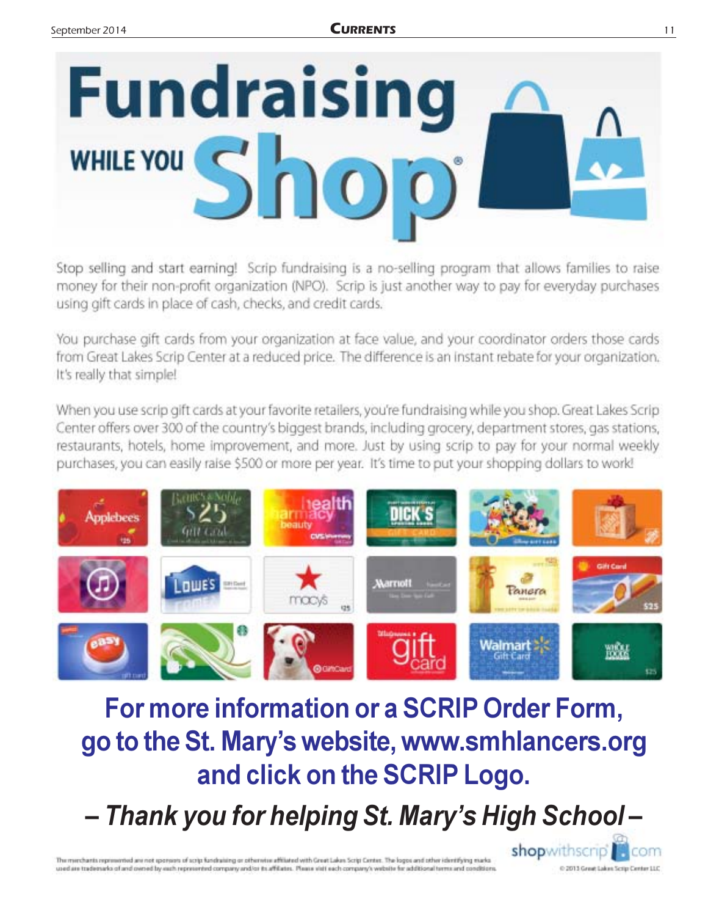

Stop selling and start earning! Scrip fundraising is a no-selling program that allows families to raise money for their non-profit organization (NPO). Scrip is just another way to pay for everyday purchases using gift cards in place of cash, checks, and credit cards.

You purchase gift cards from your organization at face value, and your coordinator orders those cards from Great Lakes Scrip Center at a reduced price. The difference is an instant rebate for your organization. It's really that simple!

When you use scrip gift cards at your favorite retailers, you're fundraising while you shop. Great Lakes Scrip Center offers over 300 of the country's biggest brands, including grocery, department stores, gas stations, restaurants, hotels, home improvement, and more. Just by using scrip to pay for your normal weekly purchases, you can easily raise \$500 or more per year. It's time to put your shopping dollars to work!



# For more information or a SCRIP Order Form, go to the St. Mary's website, www.smhlancers.org and click on the SCRIP Logo.

- Thank you for helping St. Mary's High School-

The memberia represented are not sponsors of scrip fundraising or otherwise affiliated with Great Lakes Scrip Center. The logos and other identifying marks used are trademarks of and owned by each represented company and/or its affiliates. Please visit each company's website for additional terms and conditions

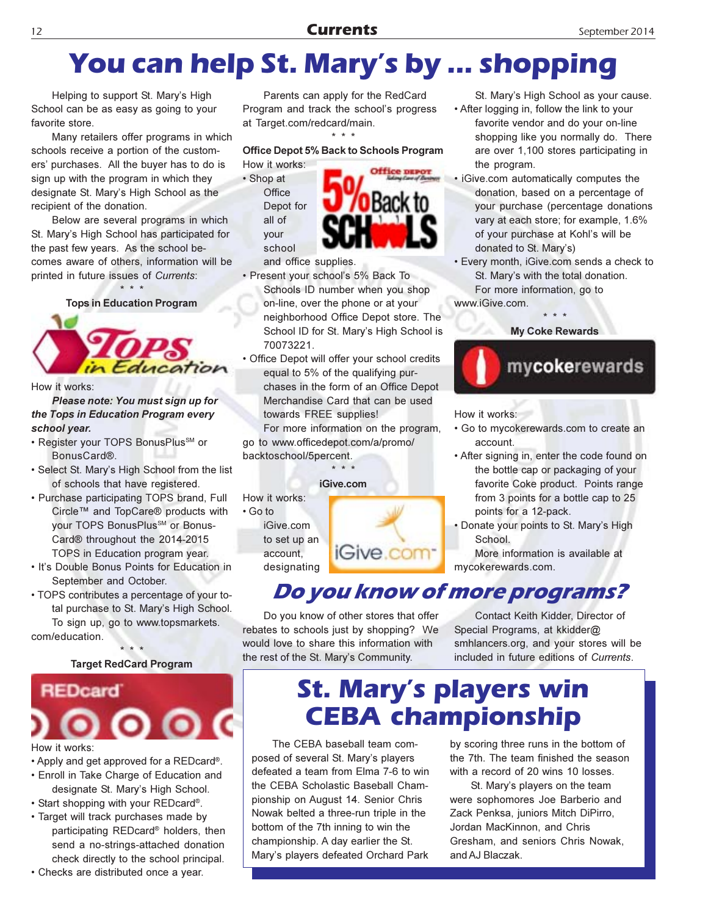# You can help St. Mary's by ... shopping

Helping to support St. Mary's High School can be as easy as going to your favorite store.

Many retailers offer programs in which schools receive a portion of the customers' purchases. All the buyer has to do is sign up with the program in which they designate St. Mary's High School as the recipient of the donation.

Below are several programs in which St. Mary's High School has participated for the past few years. As the school becomes aware of others, information will be printed in future issues of Currents:

**Tops in Education Program** 

ucation

How it works:

Please note: You must sign up for the Tops in Education Program every school vear.

- Register your TOPS BonusPlus<sup>SM</sup> or BonusCard®.
- Select St. Mary's High School from the list of schools that have registered.
- Purchase participating TOPS brand, Full Circle™ and TopCare® products with your TOPS BonusPlus<sup>SM</sup> or Bonus-Card® throughout the 2014-2015 TOPS in Education program year.
- . It's Double Bonus Points for Education in September and October.
- TOPS contributes a percentage of your total purchase to St. Mary's High School. To sign up, go to www.topsmarkets. com/education.

**Target RedCard Program** 



#### How it works:

- Apply and get approved for a REDcard®.
- Enroll in Take Charge of Education and designate St. Mary's High School.
- Start shopping with your REDcard®.
- Target will track purchases made by participating REDcard<sup>®</sup> holders, then send a no-strings-attached donation check directly to the school principal.
- Checks are distributed once a year.

Parents can apply for the RedCard Program and track the school's progress at Target.com/redcard/main.

Office Depot 5% Back to Schools Program

How it works: · Shop at Office Depot for all of your school



and office supplies.

- · Present your school's 5% Back To Schools ID number when you shop on-line, over the phone or at your neighborhood Office Depot store. The School ID for St. Mary's High School is 70073221.
- Office Depot will offer your school credits equal to 5% of the qualifying purchases in the form of an Office Depot Merchandise Card that can be used towards FREE supplies!

For more information on the program, go to www.officedepot.com/a/promo/ backtoschool/5percent.

iGive.com

How it works: • Go to iGive.com to set up an account. designating



### Do you know of more programs?

Do you know of other stores that offer rebates to schools just by shopping? We would love to share this information with the rest of the St. Mary's Community.

Contact Keith Kidder, Director of Special Programs, at kkidder@ smhlancers.org, and your stores will be included in future editions of Currents.

# **St. Mary's players win CEBA championship**

The CEBA baseball team composed of several St. Mary's players defeated a team from Elma 7-6 to win the CEBA Scholastic Baseball Championship on August 14. Senior Chris Nowak belted a three-run triple in the bottom of the 7th inning to win the championship. A day earlier the St. Mary's players defeated Orchard Park

by scoring three runs in the bottom of the 7th. The team finished the season with a record of 20 wins 10 losses.

St. Mary's players on the team were sophomores Joe Barberio and Zack Penksa, juniors Mitch DiPirro, Jordan MacKinnon, and Chris Gresham, and seniors Chris Nowak, and AJ Blaczak.

#### favorite vendor and do your on-line shopping like you normally do. There are over 1,100 stores participating in the program.

· iGive.com automatically computes the donation, based on a percentage of your purchase (percentage donations vary at each store; for example, 1.6% of your purchase at Kohl's will be donated to St. Mary's)

St. Mary's High School as your cause.

• After logging in, follow the link to your

· Every month, iGive.com sends a check to St. Mary's with the total donation. For more information, go to

www.iGive.com.

**My Coke Rewards** 



How it works:

- . Go to mycokerewards.com to create an account.
- After signing in, enter the code found on the bottle cap or packaging of your favorite Coke product. Points range from 3 points for a bottle cap to 25 points for a 12-pack.
- Donate your points to St. Mary's High School.

More information is available at mycokerewards.com.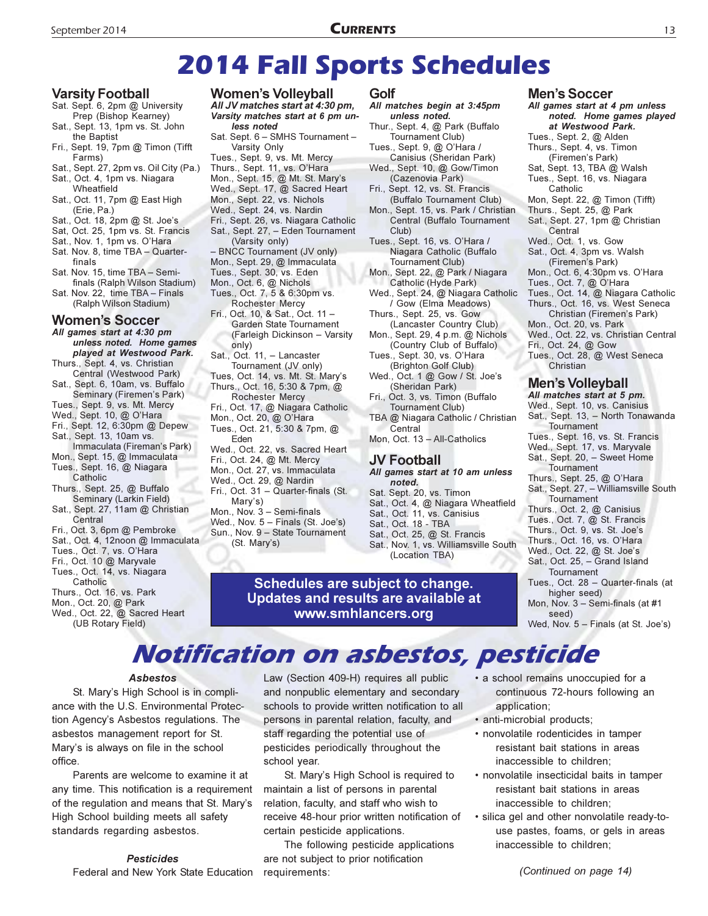**CURRENTS** 

#### **Varsity Football**

- Sat. Sept. 6, 2pm @ University Prep (Bishop Kearney)
- Sat., Sept. 13, 1pm vs. St. John
- the Baptist Fri., Sept. 19, 7pm @ Timon (Tifft Farms)
- Sat., Sept. 27, 2pm vs. Oil City (Pa.) Sat., Oct. 4, 1pm vs. Niagara
- Wheatfield Sat., Oct. 11, 7pm @ East High
- (Erie, Pa.)
- Sat., Oct. 18, 2pm @ St. Joe's
- Sat, Oct. 25, 1pm vs. St. Francis
- Sat., Nov. 1, 1pm vs. O'Hara
- Sat. Nov. 8, time TBA Quarterfinals
- Sat. Nov. 15. time TBA Semifinals (Ralph Wilson Stadium)
- Sat. Nov. 22, time TBA Finals (Ralph Wilson Stadium)

#### **Women's Soccer**

All games start at 4:30 pm unless noted. Home games played at Westwood Park. Thurs., Sept. 4, vs. Christian Central (Westwood Park) Sat., Sept. 6, 10am, vs. Buffalo

Seminary (Firemen's Park)

- Tues., Sept. 9, vs. Mt. Mercy Wed., Sept. 10, @ O'Hara
- Fri., Sept. 12, 6:30pm @ Depew
- Sat., Sept. 13, 10am vs.
- Immaculata (Fireman's Park)
- Mon., Sept. 15, @ Immaculata Tues., Sept. 16, @ Niagara
- Catholic Thurs., Sept. 25, @ Buffalo Seminary (Larkin Field)
- Sat., Sept. 27, 11am @ Christian Central
- Fri., Oct. 3, 6pm @ Pembroke
- Sat., Oct. 4, 12noon @ Immaculata
- Tues., Oct. 7, vs. O'Hara Fri., Oct. 10 @ Maryvale
- Tues., Oct. 14, vs. Niagara
- Catholic
- Thurs., Oct. 16, vs. Park
- Mon., Oct. 20, @ Park
- Wed., Oct. 22, @ Sacred Heart (UB Rotary Field)

#### **Women's Volleyball**

All JV matches start at 4:30 pm, Varsity matches start at 6 pm unless noted Sat. Sept. 6 - SMHS Tournament -

Varsity Only Tues., Sept. 9, vs. Mt. Mercy Thurs., Sept. 11, vs. O'Hara Mon., Sept. 15, @ Mt. St. Mary's Wed., Sept. 17, @ Sacred Heart Mon., Sept. 22, vs. Nichols Wed., Sept. 24, vs. Nardin Fri., Sept. 26, vs. Niagara Catholic Sat., Sept. 27, - Eden Tournament (Varsity only) - BNCC Tournament (JV only) Mon., Sept. 29, @ Immaculata

- Tues., Sept. 30, vs. Eden
- Mon., Oct. 6, @ Nichols Tues., Oct. 7, 5 & 6:30pm vs.

Rochester Mercy Fri., Oct. 10, & Sat., Oct. 11 -Garden State Tournament (Farleigh Dickinson - Varsity

- only) Sat., Oct. 11, - Lancaster Tournament (JV only)
- Tues, Oct. 14, vs. Mt. St. Mary's Thurs., Oct. 16, 5:30 & 7pm, @ **Rochester Mercy** Fri., Oct. 17, @ Niagara Catholic
- Mon., Oct. 20, @ O'Hara Tues., Oct. 21, 5:30 & 7pm, @
- Eden Wed., Oct. 22, vs. Sacred Heart Fri., Oct. 24, @ Mt. Mercy Mon., Oct. 27, vs. Immaculata Wed., Oct. 29, @ Nardin
- Fri., Oct. 31 Quarter-finals (St.
- Mary's) Mon., Nov. 3 - Semi-finals

Wed., Nov. 5 - Finals (St. Joe's) Sun., Nov. 9 - State Tournament (St. Mary's)

#### Golf

All matches begin at 3:45pm unless noted. Thur., Sept. 4, @ Park (Buffalo Tournament Club) Tues., Sept. 9, @ O'Hara / Canisius (Sheridan Park) Wed., Sept. 10, @ Gow/Timon (Cazenovia Park) Fri., Sept. 12, vs. St. Francis (Buffalo Tournament Club) Mon., Sept. 15, vs. Park / Christian Central (Buffalo Tournament Club) Tues., Sept. 16, vs. O'Hara / Niagara Catholic (Buffalo Tournament Club) Mon., Sept. 22, @ Park / Niagara Catholic (Hyde Park) Wed., Sept. 24, @ Niagara Catholic / Gow (Elma Meadows) Thurs., Sept. 25, vs. Gow (Lancaster Country Club) Mon., Sept. 29, 4 p.m. @ Nichols (Country Club of Buffalo) Tues., Sept. 30, vs. O'Hara (Brighton Golf Club) Wed., Oct. 1 @ Gow / St. Joe's (Sheridan Park) Fri., Oct. 3. vs. Timon (Buffalo)

Tournament Club) TBA @ Niagara Catholic / Christian

Central Mon, Oct. 13 - All-Catholics

#### **JV Football**

- All games start at 10 am unless noted.
- Sat. Sept. 20, vs. Timon
- Sat., Oct. 4, @ Niagara Wheatfield
- Sat., Oct. 11, vs. Canisius Sat., Oct. 18 - TBA
- 
- Sat., Oct. 25, @ St. Francis Sat., Nov. 1, vs. Williamsville South (Location TBA)

Schedules are subject to change. Updates and results are available at www.smhlancers.org

# **Notification on asbestos, pesticide**

#### **Asbestos**

St. Mary's High School is in compliance with the U.S. Environmental Protection Agency's Asbestos regulations. The asbestos management report for St. Mary's is always on file in the school office

Parents are welcome to examine it at any time. This notification is a requirement of the regulation and means that St. Mary's High School building meets all safety standards regarding asbestos.

#### **Pesticides**

Federal and New York State Education requirements:

Law (Section 409-H) requires all public and nonpublic elementary and secondary schools to provide written notification to all persons in parental relation, faculty, and staff regarding the potential use of pesticides periodically throughout the school year.

St. Mary's High School is required to maintain a list of persons in parental relation, faculty, and staff who wish to receive 48-hour prior written notification of certain pesticide applications.

The following pesticide applications are not subject to prior notification

#### **Men's Soccer**

All games start at 4 pm unless noted. Home games played at Westwood Park. Tues., Sept. 2, @ Alden Thurs., Sept. 4, vs. Timon (Firemen's Park) Sat, Sept. 13, TBA @ Walsh Tues., Sept. 16, vs. Niagara Catholic Mon, Sept. 22, @ Timon (Tifft) Thurs., Sept. 25, @ Park Sat., Sept. 27, 1pm @ Christian Central Wed., Oct. 1, vs. Gow Sat., Oct. 4, 3pm vs. Walsh (Firemen's Park) Mon., Oct. 6, 4:30pm vs. O'Hara Tues., Oct. 7, @ O'Hara Tues., Oct. 14, @ Niagara Catholic Thurs., Oct. 16, vs. West Seneca Christian (Firemen's Park) Mon., Oct. 20, vs. Park Wed., Oct. 22, vs. Christian Central Fri., Oct. 24, @ Gow Tues., Oct. 28, @ West Seneca Christian Men's Volleyball All matches start at 5 pm. Wed., Sept. 10, vs. Canisius Sat., Sept. 13, - North Tonawanda

- Tournament Tues., Sept. 16, vs. St. Francis
- Wed., Sept. 17, vs. Maryvale
- Sat., Sept. 20, Sweet Home
- Tournament
- Thurs., Sept. 25, @ O'Hara Sat., Sept. 27, - Williamsville South Tournament
- Thurs., Oct. 2, @ Canisius
- Tues., Oct. 7, @ St. Francis
- Thurs., Oct. 9, vs. St. Joe's
- Thurs., Oct. 16, vs. O'Hara
- Wed., Oct. 22, @ St. Joe's Sat., Oct. 25, - Grand Island
- Tournament Tues., Oct. 28 - Quarter-finals (at
- higher seed) Mon, Nov. 3 - Semi-finals (at #1
- seed)

Wed, Nov. 5 - Finals (at St. Joe's)

- a school remains unoccupied for a continuous 72-hours following an application;
- · anti-microbial products;
- nonvolatile rodenticides in tamper resistant bait stations in areas inaccessible to children:
- · nonvolatile insecticidal baits in tamper resistant bait stations in areas inaccessible to children;
- · silica gel and other nonvolatile ready-touse pastes, foams, or gels in areas inaccessible to children;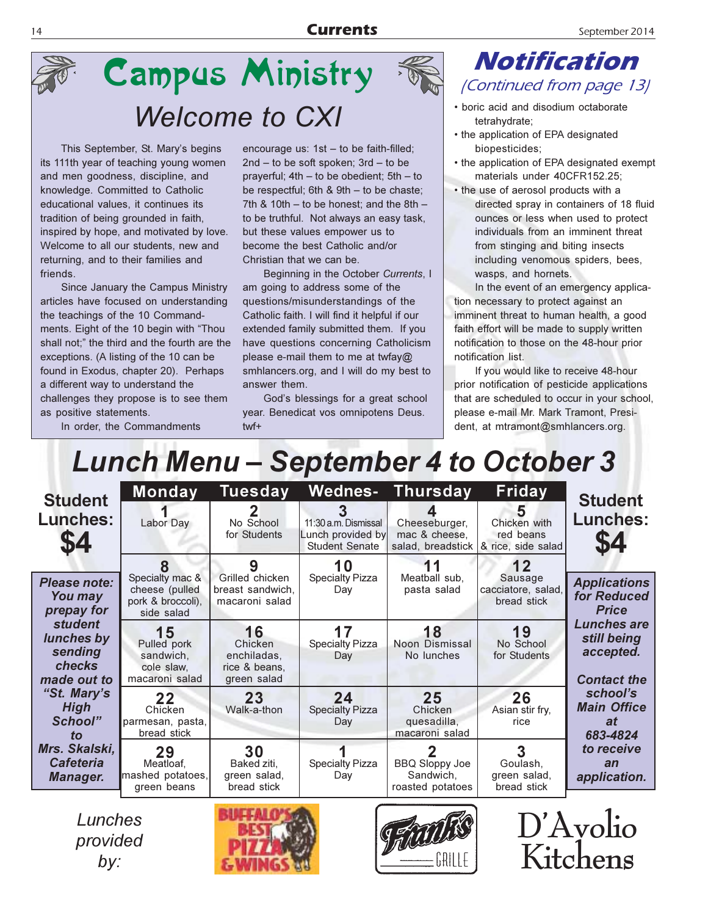

# **Campus Ministry Welcome to CXI**

This September, St. Mary's begins its 111th year of teaching young women and men goodness, discipline, and knowledge. Committed to Catholic educational values, it continues its tradition of being grounded in faith, inspired by hope, and motivated by love. Welcome to all our students, new and returning, and to their families and friends.

Since January the Campus Ministry articles have focused on understanding the teachings of the 10 Commandments. Eight of the 10 begin with "Thou shall not;" the third and the fourth are the exceptions. (A listing of the 10 can be found in Exodus, chapter 20). Perhaps a different way to understand the challenges they propose is to see them as positive statements.

In order, the Commandments

encourage us:  $1st - to be faint-filled;$ 2nd - to be soft spoken; 3rd - to be prayerful; 4th - to be obedient; 5th - to be respectful; 6th & 9th - to be chaste; 7th & 10th  $-$  to be honest; and the 8th  $$ to be truthful. Not always an easy task, but these values empower us to become the best Catholic and/or Christian that we can be.

Beginning in the October Currents, I am going to address some of the questions/misunderstandings of the Catholic faith. I will find it helpful if our extended family submitted them. If you have questions concerning Catholicism please e-mail them to me at twfay@ smhlancers.org, and I will do my best to answer them.

God's blessings for a great school year. Benedicat vos omnipotens Deus. twf+

### **Notification** (Continued from page 13)

- boric acid and disodium octaborate tetrahydrate;
- the application of EPA designated biopesticides;
- the application of EPA designated exempt materials under 40CFR152.25;
- the use of aerosol products with a directed spray in containers of 18 fluid ounces or less when used to protect individuals from an imminent threat from stinging and biting insects including venomous spiders, bees, wasps, and hornets.

In the event of an emergency application necessary to protect against an imminent threat to human health, a good faith effort will be made to supply written notification to those on the 48-hour prior notification list.

If you would like to receive 48-hour prior notification of pesticide applications that are scheduled to occur in your school, please e-mail Mr. Mark Tramont, President, at mtramont@smhlancers.org.

# **Lunch Menu - September 4 to October 3**

| <b>Student</b><br>Lunches:<br>\$4                                       | <b>Monday</b><br>Labor Day                                           | <b>Tuesday</b><br>No School<br>for Students                  | 11:30 a.m. Dismissal<br>Lunch provided by<br><b>Student Senate</b> | <b>Wednes- Thursday</b><br>Cheeseburger,<br>mac & cheese, | Friday<br>5<br>Chicken with<br>red beans<br>salad, breadstick & rice, side salad | <b>Student</b><br><b>Lunches:</b>                                    |
|-------------------------------------------------------------------------|----------------------------------------------------------------------|--------------------------------------------------------------|--------------------------------------------------------------------|-----------------------------------------------------------|----------------------------------------------------------------------------------|----------------------------------------------------------------------|
| Please note:<br>You may<br>prepay for                                   | Specialty mac &<br>cheese (pulled<br>pork & broccoli).<br>side salad | Grilled chicken<br>breast sandwich.<br>macaroni salad        | 10<br><b>Specialty Pizza</b><br>Day                                | Meatball sub,<br>pasta salad                              | 12<br>Sausage<br>cacciatore, salad,<br>bread stick                               | <b>Applications</b><br>for Reduced<br><b>Price</b>                   |
| <i>student</i><br>lunches by<br>sending<br><b>checks</b><br>made out to | 15<br>Pulled pork<br>sandwich,<br>cole slaw.<br>macaroni salad       | 16<br>Chicken<br>enchiladas.<br>rice & beans.<br>green salad | 17<br><b>Specialty Pizza</b><br>Day                                | 18<br>Noon Dismissal<br>No lunches                        | 19<br>No School<br>for Students                                                  | <b>Lunches are</b><br>still being<br>accepted.<br><b>Contact the</b> |
| "St. Mary's<br><b>High</b><br>School"<br>to                             | 22<br>Chicken<br>parmesan, pasta,<br>bread stick                     | 23<br>Walk-a-thon                                            | 24<br><b>Specialty Pizza</b><br>Day                                | 25<br>Chicken<br>quesadilla,<br>macaroni salad            | 26<br>Asian stir fry,<br>rice                                                    | school's<br><b>Main Office</b><br>at<br>683-4824                     |
| Mrs. Skalski,<br><b>Cafeteria</b><br>Manager.                           | 29<br>Meatloaf,<br>mashed potatoes,<br>green beans                   | 30<br>Baked ziti,<br>green salad,<br>bread stick             | <b>Specialty Pizza</b><br>Day                                      | <b>BBQ Sloppy Joe</b><br>Sandwich,<br>roasted potatoes    | Goulash,<br>green salad,<br>bread stick                                          | to receive<br>an<br>application.                                     |

Lunches provided  $by:$ 





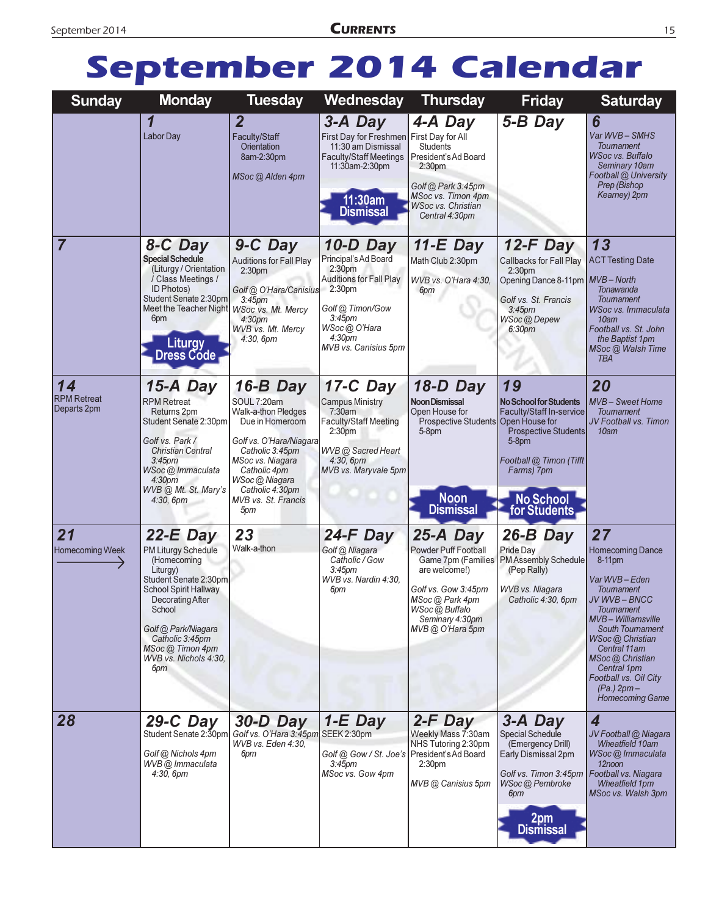# September 2014 Calendar

| <b>Sunday</b>                           | <b>Monday</b>                                                                                                                                                                                                                                     | <b>Tuesday</b>                                                                                                                                                                                                                | Wednesday                                                                                                                                                                                                               | <b>Thursday</b>                                                                                                                                                                     | <b>Friday</b>                                                                                                                                                                    | <b>Saturday</b>                                                                                                                                                                                                                                                                                     |
|-----------------------------------------|---------------------------------------------------------------------------------------------------------------------------------------------------------------------------------------------------------------------------------------------------|-------------------------------------------------------------------------------------------------------------------------------------------------------------------------------------------------------------------------------|-------------------------------------------------------------------------------------------------------------------------------------------------------------------------------------------------------------------------|-------------------------------------------------------------------------------------------------------------------------------------------------------------------------------------|----------------------------------------------------------------------------------------------------------------------------------------------------------------------------------|-----------------------------------------------------------------------------------------------------------------------------------------------------------------------------------------------------------------------------------------------------------------------------------------------------|
|                                         | $\overline{\mathbf{1}}$<br>Labor Day                                                                                                                                                                                                              | $\overline{2}$<br>Faculty/Staff<br>Orientation<br>8am-2:30pm<br>MSoc @ Alden 4pm                                                                                                                                              | 3-A Day<br>First Day for Freshmen First Day for All<br>11:30 am Dismissal<br><b>Faculty/Staff Meetings</b><br>11:30am-2:30pm<br>11:30am<br>Dismissal                                                                    | 4-A Day<br><b>Students</b><br>President's Ad Board<br>2:30 <sub>pm</sub><br>Golf @ Park 3:45pm<br>MSoc vs. Timon 4pm<br><b>WSoc vs. Christian</b><br>Central 4:30pm                 | 5-B Day                                                                                                                                                                          | 6<br>Var WVB-SMHS<br><b>Toumament</b><br><b>WSoc vs. Buffalo</b><br>Seminary 10am<br>Football @ University<br>Prep (Bishop<br>Keamey) 2pm                                                                                                                                                           |
| 7                                       | 8-C Day<br><b>Special Schedule</b><br>(Liturgy / Orientation<br>/ Class Meetings /<br><b>ID Photos)</b><br>Student Senate 2:30pm<br>Meet the Teacher Night WSoc vs. Mt. Mercy<br>6pm<br><b>Liturgy</b><br>Dress Códe                              | 9-C Day<br><b>Auditions for Fall Play</b><br>2:30 <sub>pm</sub><br>Golf @ O'Hara/Canisius<br>3:45 <sub>pm</sub><br>4:30 <sub>pm</sub><br><b>WVB vs. Mt. Mercy</b><br>4:30, 6pm                                                | 10-D Day<br>Principal's Ad Board<br>2:30 <sub>pm</sub><br><b>Auditions for Fall Play</b><br>2:30 <sub>pm</sub><br>Golf @ Timon/Gow<br>3:45 <sub>pm</sub><br>WSoc @ O'Hara<br>4:30 <sub>pm</sub><br>MVB vs. Canisius 5pm | $11-E$ Day<br>Math Club 2:30pm<br>WVB vs. O'Hara 4:30.<br>6pm                                                                                                                       | $12-F$ Day<br>Callbacks for Fall Play<br>2:30 <sub>pm</sub><br>Opening Dance 8-11pm MVB - North<br>Golf vs. St. Francis<br>3:45 <sub>pm</sub><br>WSoc @ Depew<br>6:30pm          | 13<br><b>ACT Testing Date</b><br><b>Tonawanda</b><br>Toumament<br><b>WSoc vs. Immaculata</b><br>10am<br>Football vs. St. John<br>the Baptist 1pm<br>MSoc @ Walsh Time<br><b>TBA</b>                                                                                                                 |
| 14<br><b>RPM Retreat</b><br>Departs 2pm | $15-A$ Day<br><b>RPM Retreat</b><br>Returns 2pm<br>Student Senate 2:30pm<br>Golf vs. Park /<br><b>Christian Central</b><br>3:45 <sub>pm</sub><br>WSoc @ Immaculata<br>4:30 <sub>pm</sub><br>WVB @ Mt. St. Mary's<br>$4:30,6 \, \text{pm}$         | 16-B Day<br>SOUL 7:20am<br>Walk-a-thon Pledges<br>Due in Homeroom<br>Golf vs. O'Hara/Niagara<br>Catholic 3:45pm<br>MSoc vs. Niagara<br>Catholic 4pm<br>WSoc @ Niagara<br>Catholic 4:30pm<br><b>MVB</b> vs. St. Francis<br>5pm | 17-C Day<br><b>Campus Ministry</b><br>7:30am<br><b>Faculty/Staff Meeting</b><br>2:30 <sub>pm</sub><br><b>WVB</b> @ Sacred Heart<br>$4:30,6 \, \text{pm}$<br>MVB vs. Maryvale 5pm                                        | 18-D Day<br>Noon Dismissal<br>Open House for<br>Prospective Students Open House for<br>$5-8$ pm<br><b>Noon</b><br><b>Dismissal</b>                                                  | 19<br>No School for Students<br><b>Faculty/Staff In-service</b><br><b>Prospective Students</b><br>$5-8$ pm<br>Football @ Timon (Tifft<br>Farms) 7pm<br>No School<br>for Students | 20<br><b>MVB-Sweet Home</b><br><b>Toumament</b><br>JV Football vs. Timon<br>10am                                                                                                                                                                                                                    |
| 21<br>Homecoming Week                   | $22-E$ Day<br>PM Liturgy Schedule<br>(Homecoming<br>Liturgy)<br>Student Senate 2:30pm<br><b>School Spirit Hallway</b><br>Decorating After<br>School<br>Golf @ Park/Niagara<br>Catholic 3:45pm<br>MSoc @ Timon 4pm<br>WVB vs. Nichols 4:30,<br>6pm | 23<br>Walk-a-thon                                                                                                                                                                                                             | $24-F$ Day<br>Golf @ Niagara<br>Catholic / Gow<br>3:45 <sub>pm</sub><br>WVB vs. Nardin 4:30,<br>6pm                                                                                                                     | 25-A Day<br><b>Powder Puff Football</b><br>Game 7pm (Families<br>are welcome!)<br>Golf vs. Gow 3:45pm<br>MSoc @ Park 4pm<br>WSoc (a) Buffalo<br>Seminary 4:30pm<br>MVB @ O'Hara 5pm | 26-B Day<br>Pride Day<br><b>PMAssembly Schedule</b><br>(Pep Rally)<br>WVB vs. Niagara<br>Catholic 4:30, 6pm                                                                      | 27<br><b>Homecoming Dance</b><br>8-11pm<br>Var WVB-Eden<br><b>Toumament</b><br>JV WVB – BNCC<br>Toumament<br>MVB-Williamsville<br><b>South Tournament</b><br>WSoc @ Christian<br>Central 11 am<br>MSoc @ Christian<br>Central 1pm<br>Football vs. Oil City<br>(Pa.) 2pm –<br><b>Homecoming Game</b> |
| 28                                      | $29-C$ Day<br>Student Senate 2:30pm<br>Golf @ Nichols 4pm<br>WVB@ Immaculata<br>4:30,6pm                                                                                                                                                          | 30-D Day<br>Golf vs. O'Hara 3:45pm<br>WVB vs. Eden 4:30,<br>6pm                                                                                                                                                               | $1-E$ Day<br>SEEK 2:30pm<br>Golf @ Gow / St. Joe's President's Ad Board<br>3:45 <sub>pm</sub><br>MSoc vs. Gow 4pm                                                                                                       | 2-F Day<br>Weekly Mass 7:30am<br>NHS Tutoring 2:30pm<br>2:30pm<br>MVB @ Canisius 5pm                                                                                                | 3-A Day<br>Special Schedule<br>(Emergency Drill)<br>Early Dismissal 2pm<br>Golf vs. Timon 3:45pm   Football vs. Niagara<br>WSoc @ Pembroke<br>6pm<br>2pm<br>Dismissal            | 4<br>JV Football @ Niagara<br><b>Wheatfield 10am</b><br>WSoc @ Immaculata<br>12noon<br>Wheatfield 1pm<br>MSoc vs. Walsh 3pm                                                                                                                                                                         |